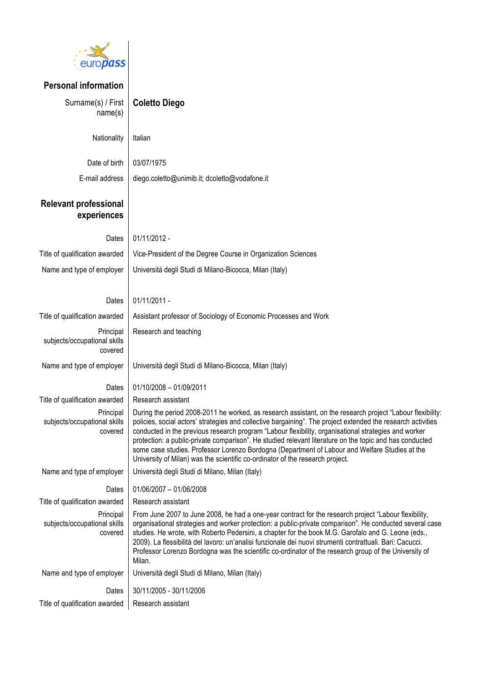

| <b>Personal information</b>                          |                                                                                                                                                                                                                                                                                                                                                                                                                                                                                                                                                                                                                                  |
|------------------------------------------------------|----------------------------------------------------------------------------------------------------------------------------------------------------------------------------------------------------------------------------------------------------------------------------------------------------------------------------------------------------------------------------------------------------------------------------------------------------------------------------------------------------------------------------------------------------------------------------------------------------------------------------------|
| Surname(s) / First<br>name(s)                        | <b>Coletto Diego</b>                                                                                                                                                                                                                                                                                                                                                                                                                                                                                                                                                                                                             |
| Nationality                                          | Italian                                                                                                                                                                                                                                                                                                                                                                                                                                                                                                                                                                                                                          |
| Date of birth                                        | 03/07/1975                                                                                                                                                                                                                                                                                                                                                                                                                                                                                                                                                                                                                       |
| E-mail address                                       | diego.coletto@unimib.it; dcoletto@vodafone.it                                                                                                                                                                                                                                                                                                                                                                                                                                                                                                                                                                                    |
| <b>Relevant professional</b><br>experiences          |                                                                                                                                                                                                                                                                                                                                                                                                                                                                                                                                                                                                                                  |
| Dates                                                | 01/11/2012 -                                                                                                                                                                                                                                                                                                                                                                                                                                                                                                                                                                                                                     |
| Title of qualification awarded                       | Vice-President of the Degree Course in Organization Sciences                                                                                                                                                                                                                                                                                                                                                                                                                                                                                                                                                                     |
| Name and type of employer                            | Università degli Studi di Milano-Bicocca, Milan (Italy)                                                                                                                                                                                                                                                                                                                                                                                                                                                                                                                                                                          |
|                                                      |                                                                                                                                                                                                                                                                                                                                                                                                                                                                                                                                                                                                                                  |
| Dates                                                | 01/11/2011 -                                                                                                                                                                                                                                                                                                                                                                                                                                                                                                                                                                                                                     |
| Title of qualification awarded                       | Assistant professor of Sociology of Economic Processes and Work                                                                                                                                                                                                                                                                                                                                                                                                                                                                                                                                                                  |
| Principal<br>subjects/occupational skills<br>covered | Research and teaching                                                                                                                                                                                                                                                                                                                                                                                                                                                                                                                                                                                                            |
| Name and type of employer                            | Università degli Studi di Milano-Bicocca, Milan (Italy)                                                                                                                                                                                                                                                                                                                                                                                                                                                                                                                                                                          |
| Dates                                                | 01/10/2008 - 01/09/2011                                                                                                                                                                                                                                                                                                                                                                                                                                                                                                                                                                                                          |
| Title of qualification awarded                       | Research assistant                                                                                                                                                                                                                                                                                                                                                                                                                                                                                                                                                                                                               |
| Principal<br>subjects/occupational skills<br>covered | During the period 2008-2011 he worked, as research assistant, on the research project "Labour flexibility:<br>policies, social actors' strategies and collective bargaining". The project extended the research activities<br>conducted in the previous research program "Labour flexibility, organisational strategies and worker<br>protection: a public-private comparison". He studied relevant literature on the topic and has conducted<br>some case studies. Professor Lorenzo Bordogna (Department of Labour and Welfare Studies at the<br>University of Milan) was the scientific co-ordinator of the research project. |
| Name and type of employer                            | Università degli Studi di Milano, Milan (Italy)                                                                                                                                                                                                                                                                                                                                                                                                                                                                                                                                                                                  |
| Dates                                                | 01/06/2007 - 01/06/2008                                                                                                                                                                                                                                                                                                                                                                                                                                                                                                                                                                                                          |
| Title of qualification awarded                       | Research assistant                                                                                                                                                                                                                                                                                                                                                                                                                                                                                                                                                                                                               |
| Principal<br>subjects/occupational skills<br>covered | From June 2007 to June 2008, he had a one-year contract for the research project "Labour flexibility,<br>organisational strategies and worker protection: a public-private comparison". He conducted several case<br>studies. He wrote, with Roberto Pedersini, a chapter for the book M.G. Garofalo and G. Leone (eds.,<br>2009). La flessibilità del lavoro: un'analisi funzionale dei nuovi strumenti contrattuali. Bari: Cacucci.<br>Professor Lorenzo Bordogna was the scientific co-ordinator of the research group of the University of<br>Milan.                                                                         |
| Name and type of employer                            | Università degli Studi di Milano, Milan (Italy)                                                                                                                                                                                                                                                                                                                                                                                                                                                                                                                                                                                  |
| Dates                                                | 30/11/2005 - 30/11/2006                                                                                                                                                                                                                                                                                                                                                                                                                                                                                                                                                                                                          |
| Title of qualification awarded                       | Research assistant                                                                                                                                                                                                                                                                                                                                                                                                                                                                                                                                                                                                               |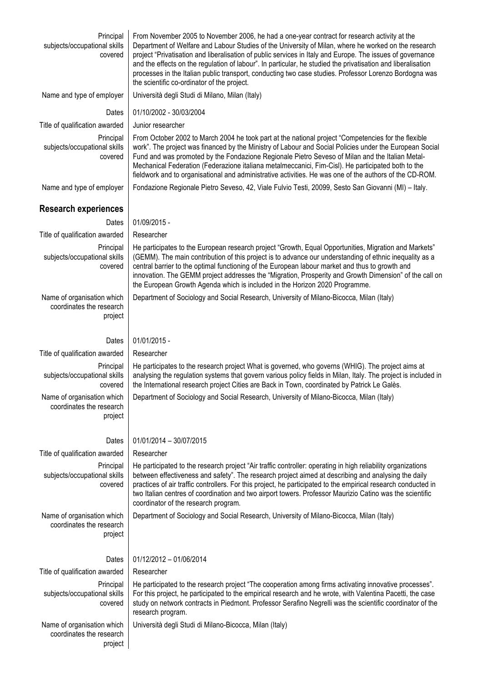| Principal<br>subjects/occupational skills<br>covered              | From November 2005 to November 2006, he had a one-year contract for research activity at the<br>Department of Welfare and Labour Studies of the University of Milan, where he worked on the research<br>project "Privatisation and liberalisation of public services in Italy and Europe. The issues of governance<br>and the effects on the regulation of labour". In particular, he studied the privatisation and liberalisation<br>processes in the Italian public transport, conducting two case studies. Professor Lorenzo Bordogna was<br>the scientific co-ordinator of the project. |  |  |  |  |
|-------------------------------------------------------------------|---------------------------------------------------------------------------------------------------------------------------------------------------------------------------------------------------------------------------------------------------------------------------------------------------------------------------------------------------------------------------------------------------------------------------------------------------------------------------------------------------------------------------------------------------------------------------------------------|--|--|--|--|
| Name and type of employer                                         | Università degli Studi di Milano, Milan (Italy)                                                                                                                                                                                                                                                                                                                                                                                                                                                                                                                                             |  |  |  |  |
| Dates                                                             | 01/10/2002 - 30/03/2004                                                                                                                                                                                                                                                                                                                                                                                                                                                                                                                                                                     |  |  |  |  |
| Title of qualification awarded                                    | Junior researcher                                                                                                                                                                                                                                                                                                                                                                                                                                                                                                                                                                           |  |  |  |  |
| Principal<br>subjects/occupational skills<br>covered              | From October 2002 to March 2004 he took part at the national project "Competencies for the flexible<br>work". The project was financed by the Ministry of Labour and Social Policies under the European Social<br>Fund and was promoted by the Fondazione Regionale Pietro Seveso of Milan and the Italian Metal-<br>Mechanical Federation (Federazione italiana metalmeccanici, Fim-Cisl). He participated both to the<br>fieldwork and to organisational and administrative activities. He was one of the authors of the CD-ROM.                                                          |  |  |  |  |
| Name and type of employer                                         | Fondazione Regionale Pietro Seveso, 42, Viale Fulvio Testi, 20099, Sesto San Giovanni (MI) - Italy.                                                                                                                                                                                                                                                                                                                                                                                                                                                                                         |  |  |  |  |
| <b>Research experiences</b>                                       |                                                                                                                                                                                                                                                                                                                                                                                                                                                                                                                                                                                             |  |  |  |  |
| Dates                                                             | 01/09/2015 -                                                                                                                                                                                                                                                                                                                                                                                                                                                                                                                                                                                |  |  |  |  |
| Title of qualification awarded                                    | Researcher                                                                                                                                                                                                                                                                                                                                                                                                                                                                                                                                                                                  |  |  |  |  |
| Principal<br>subjects/occupational skills<br>covered              | He participates to the European research project "Growth, Equal Opportunities, Migration and Markets"<br>(GEMM). The main contribution of this project is to advance our understanding of ethnic inequality as a<br>central barrier to the optimal functioning of the European labour market and thus to growth and<br>innovation. The GEMM project addresses the "Migration, Prosperity and Growth Dimension" of the call on<br>the European Growth Agenda which is included in the Horizon 2020 Programme.                                                                                |  |  |  |  |
| Name of organisation which<br>coordinates the research<br>project | Department of Sociology and Social Research, University of Milano-Bicocca, Milan (Italy)                                                                                                                                                                                                                                                                                                                                                                                                                                                                                                    |  |  |  |  |
| Dates                                                             | 01/01/2015 -                                                                                                                                                                                                                                                                                                                                                                                                                                                                                                                                                                                |  |  |  |  |
| Title of qualification awarded                                    | Researcher                                                                                                                                                                                                                                                                                                                                                                                                                                                                                                                                                                                  |  |  |  |  |
| Principal<br>subjects/occupational skills<br>covered              | He participates to the research project What is governed, who governs (WHIG). The project aims at<br>analysing the regulation systems that govern various policy fields in Milan, Italy. The project is included in<br>the International research project Cities are Back in Town, coordinated by Patrick Le Galès.                                                                                                                                                                                                                                                                         |  |  |  |  |
| Name of organisation which<br>coordinates the research<br>project | Department of Sociology and Social Research, University of Milano-Bicocca, Milan (Italy)                                                                                                                                                                                                                                                                                                                                                                                                                                                                                                    |  |  |  |  |
| Dates                                                             | 01/01/2014 - 30/07/2015                                                                                                                                                                                                                                                                                                                                                                                                                                                                                                                                                                     |  |  |  |  |
| Title of qualification awarded                                    | Researcher                                                                                                                                                                                                                                                                                                                                                                                                                                                                                                                                                                                  |  |  |  |  |
| Principal<br>subjects/occupational skills<br>covered              | He participated to the research project "Air traffic controller: operating in high reliability organizations<br>between effectiveness and safety". The research project aimed at describing and analysing the daily<br>practices of air traffic controllers. For this project, he participated to the empirical research conducted in<br>two Italian centres of coordination and two airport towers. Professor Maurizio Catino was the scientific<br>coordinator of the research program.                                                                                                   |  |  |  |  |
| Name of organisation which<br>coordinates the research<br>project | Department of Sociology and Social Research, University of Milano-Bicocca, Milan (Italy)                                                                                                                                                                                                                                                                                                                                                                                                                                                                                                    |  |  |  |  |
| Dates                                                             | 01/12/2012 - 01/06/2014                                                                                                                                                                                                                                                                                                                                                                                                                                                                                                                                                                     |  |  |  |  |
| Title of qualification awarded                                    | Researcher                                                                                                                                                                                                                                                                                                                                                                                                                                                                                                                                                                                  |  |  |  |  |
| Principal<br>subjects/occupational skills<br>covered              | He participated to the research project "The cooperation among firms activating innovative processes".<br>For this project, he participated to the empirical research and he wrote, with Valentina Pacetti, the case<br>study on network contracts in Piedmont. Professor Serafino Negrelli was the scientific coordinator of the<br>research program.                                                                                                                                                                                                                                      |  |  |  |  |
| Name of organisation which<br>coordinates the research<br>project | Università degli Studi di Milano-Bicocca, Milan (Italy)                                                                                                                                                                                                                                                                                                                                                                                                                                                                                                                                     |  |  |  |  |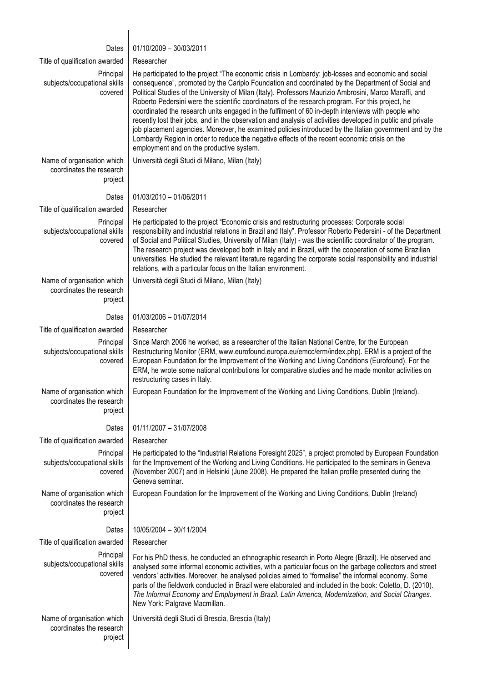| Dates                                                             | 01/10/2009 - 30/03/2011                                                                                                                                                                                                                                                                                                                                                                                                                                                                                                                                                                                                                                                                                                                                                                                                                                                                           |
|-------------------------------------------------------------------|---------------------------------------------------------------------------------------------------------------------------------------------------------------------------------------------------------------------------------------------------------------------------------------------------------------------------------------------------------------------------------------------------------------------------------------------------------------------------------------------------------------------------------------------------------------------------------------------------------------------------------------------------------------------------------------------------------------------------------------------------------------------------------------------------------------------------------------------------------------------------------------------------|
| Title of qualification awarded                                    | Researcher                                                                                                                                                                                                                                                                                                                                                                                                                                                                                                                                                                                                                                                                                                                                                                                                                                                                                        |
| Principal<br>subjects/occupational skills<br>covered              | He participated to the project "The economic crisis in Lombardy: job-losses and economic and social<br>consequence", promoted by the Cariplo Foundation and coordinated by the Department of Social and<br>Political Studies of the University of Milan (Italy). Professors Maurizio Ambrosini, Marco Maraffi, and<br>Roberto Pedersini were the scientific coordinators of the research program. For this project, he<br>coordinated the research units engaged in the fulfilment of 60 in-depth interviews with people who<br>recently lost their jobs, and in the observation and analysis of activities developed in public and private<br>job placement agencies. Moreover, he examined policies introduced by the Italian government and by the<br>Lombardy Region in order to reduce the negative effects of the recent economic crisis on the<br>employment and on the productive system. |
| Name of organisation which<br>coordinates the research<br>project | Università degli Studi di Milano, Milan (Italy)                                                                                                                                                                                                                                                                                                                                                                                                                                                                                                                                                                                                                                                                                                                                                                                                                                                   |
| Dates                                                             | 01/03/2010 - 01/06/2011                                                                                                                                                                                                                                                                                                                                                                                                                                                                                                                                                                                                                                                                                                                                                                                                                                                                           |
| Title of qualification awarded                                    | Researcher                                                                                                                                                                                                                                                                                                                                                                                                                                                                                                                                                                                                                                                                                                                                                                                                                                                                                        |
| Principal<br>subjects/occupational skills<br>covered              | He participated to the project "Economic crisis and restructuring processes: Corporate social<br>responsibility and industrial relations in Brazil and Italy". Professor Roberto Pedersini - of the Department<br>of Social and Political Studies, University of Milan (Italy) - was the scientific coordinator of the program.<br>The research project was developed both in Italy and in Brazil, with the cooperation of some Brazilian<br>universities. He studied the relevant literature regarding the corporate social responsibility and industrial<br>relations, with a particular focus on the Italian environment.                                                                                                                                                                                                                                                                      |
| Name of organisation which<br>coordinates the research<br>project | Università degli Studi di Milano, Milan (Italy)                                                                                                                                                                                                                                                                                                                                                                                                                                                                                                                                                                                                                                                                                                                                                                                                                                                   |
| Dates                                                             | 01/03/2006 - 01/07/2014                                                                                                                                                                                                                                                                                                                                                                                                                                                                                                                                                                                                                                                                                                                                                                                                                                                                           |
| Title of qualification awarded                                    | Researcher                                                                                                                                                                                                                                                                                                                                                                                                                                                                                                                                                                                                                                                                                                                                                                                                                                                                                        |
| Principal<br>subjects/occupational skills<br>covered              | Since March 2006 he worked, as a researcher of the Italian National Centre, for the European<br>Restructuring Monitor (ERM, www.eurofound.europa.eu/emcc/erm/index.php). ERM is a project of the<br>European Foundation for the Improvement of the Working and Living Conditions (Eurofound). For the<br>ERM, he wrote some national contributions for comparative studies and he made monitor activities on<br>restructuring cases in Italy.                                                                                                                                                                                                                                                                                                                                                                                                                                                     |
| Name of organisation which<br>coordinates the research<br>project | European Foundation for the Improvement of the Working and Living Conditions, Dublin (Ireland).                                                                                                                                                                                                                                                                                                                                                                                                                                                                                                                                                                                                                                                                                                                                                                                                   |
| Dates                                                             | 01/11/2007 - 31/07/2008                                                                                                                                                                                                                                                                                                                                                                                                                                                                                                                                                                                                                                                                                                                                                                                                                                                                           |
| Title of qualification awarded                                    | Researcher                                                                                                                                                                                                                                                                                                                                                                                                                                                                                                                                                                                                                                                                                                                                                                                                                                                                                        |
| Principal<br>subjects/occupational skills<br>covered              | He participated to the "Industrial Relations Foresight 2025", a project promoted by European Foundation<br>for the Improvement of the Working and Living Conditions. He participated to the seminars in Geneva<br>(November 2007) and in Helsinki (June 2008). He prepared the Italian profile presented during the<br>Geneva seminar.                                                                                                                                                                                                                                                                                                                                                                                                                                                                                                                                                            |
| Name of organisation which<br>coordinates the research<br>project | European Foundation for the Improvement of the Working and Living Conditions, Dublin (Ireland)                                                                                                                                                                                                                                                                                                                                                                                                                                                                                                                                                                                                                                                                                                                                                                                                    |
| Dates                                                             | 10/05/2004 - 30/11/2004                                                                                                                                                                                                                                                                                                                                                                                                                                                                                                                                                                                                                                                                                                                                                                                                                                                                           |
| Title of qualification awarded                                    | Researcher                                                                                                                                                                                                                                                                                                                                                                                                                                                                                                                                                                                                                                                                                                                                                                                                                                                                                        |
| Principal<br>subjects/occupational skills<br>covered              | For his PhD thesis, he conducted an ethnographic research in Porto Alegre (Brazil). He observed and<br>analysed some informal economic activities, with a particular focus on the garbage collectors and street<br>vendors' activities. Moreover, he analysed policies aimed to "formalise" the informal economy. Some<br>parts of the fieldwork conducted in Brazil were elaborated and included in the book: Coletto, D. (2010).<br>The Informal Economy and Employment in Brazil. Latin America, Modernization, and Social Changes.<br>New York: Palgrave Macmillan.                                                                                                                                                                                                                                                                                                                           |
| Name of organisation which<br>coordinates the research<br>project | Università degli Studi di Brescia, Brescia (Italy)                                                                                                                                                                                                                                                                                                                                                                                                                                                                                                                                                                                                                                                                                                                                                                                                                                                |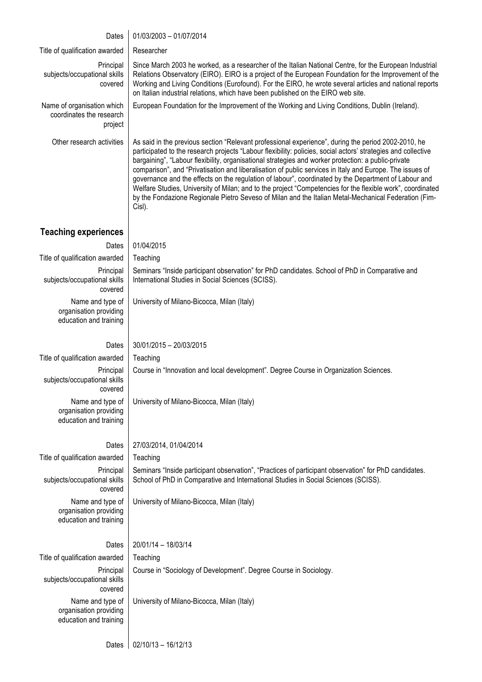## Dates | 01/03/2003 - 01/07/2014

| Title of qualification awarded                                       | Researcher                                                                                                                                                                                                                                                                                                                                                                                                                                                                                                                                                                                                                                                                                                                                                                      |
|----------------------------------------------------------------------|---------------------------------------------------------------------------------------------------------------------------------------------------------------------------------------------------------------------------------------------------------------------------------------------------------------------------------------------------------------------------------------------------------------------------------------------------------------------------------------------------------------------------------------------------------------------------------------------------------------------------------------------------------------------------------------------------------------------------------------------------------------------------------|
| Principal<br>subjects/occupational skills<br>covered                 | Since March 2003 he worked, as a researcher of the Italian National Centre, for the European Industrial<br>Relations Observatory (EIRO). EIRO is a project of the European Foundation for the Improvement of the<br>Working and Living Conditions (Eurofound). For the EIRO, he wrote several articles and national reports<br>on Italian industrial relations, which have been published on the EIRO web site.                                                                                                                                                                                                                                                                                                                                                                 |
| Name of organisation which<br>coordinates the research<br>project    | European Foundation for the Improvement of the Working and Living Conditions, Dublin (Ireland).                                                                                                                                                                                                                                                                                                                                                                                                                                                                                                                                                                                                                                                                                 |
| Other research activities                                            | As said in the previous section "Relevant professional experience", during the period 2002-2010, he<br>participated to the research projects "Labour flexibility: policies, social actors' strategies and collective<br>bargaining", "Labour flexibility, organisational strategies and worker protection: a public-private<br>comparison", and "Privatisation and liberalisation of public services in Italy and Europe. The issues of<br>governance and the effects on the regulation of labour", coordinated by the Department of Labour and<br>Welfare Studies, University of Milan; and to the project "Competencies for the flexible work", coordinated<br>by the Fondazione Regionale Pietro Seveso of Milan and the Italian Metal-Mechanical Federation (Fim-<br>Cisl). |
| <b>Teaching experiences</b>                                          |                                                                                                                                                                                                                                                                                                                                                                                                                                                                                                                                                                                                                                                                                                                                                                                 |
| Dates                                                                | 01/04/2015                                                                                                                                                                                                                                                                                                                                                                                                                                                                                                                                                                                                                                                                                                                                                                      |
| Title of qualification awarded                                       | Teaching                                                                                                                                                                                                                                                                                                                                                                                                                                                                                                                                                                                                                                                                                                                                                                        |
| Principal                                                            | Seminars "Inside participant observation" for PhD candidates. School of PhD in Comparative and                                                                                                                                                                                                                                                                                                                                                                                                                                                                                                                                                                                                                                                                                  |
| subjects/occupational skills<br>covered                              | International Studies in Social Sciences (SCISS).                                                                                                                                                                                                                                                                                                                                                                                                                                                                                                                                                                                                                                                                                                                               |
| Name and type of<br>organisation providing<br>education and training | University of Milano-Bicocca, Milan (Italy)                                                                                                                                                                                                                                                                                                                                                                                                                                                                                                                                                                                                                                                                                                                                     |
| Dates                                                                | 30/01/2015 - 20/03/2015                                                                                                                                                                                                                                                                                                                                                                                                                                                                                                                                                                                                                                                                                                                                                         |
| Title of qualification awarded                                       | Teaching                                                                                                                                                                                                                                                                                                                                                                                                                                                                                                                                                                                                                                                                                                                                                                        |
| Principal<br>subjects/occupational skills<br>covered                 | Course in "Innovation and local development". Degree Course in Organization Sciences.                                                                                                                                                                                                                                                                                                                                                                                                                                                                                                                                                                                                                                                                                           |
| organisation providing<br>education and training                     | Name and type of   University of Milano-Bicocca, Milan (Italy)                                                                                                                                                                                                                                                                                                                                                                                                                                                                                                                                                                                                                                                                                                                  |
| Dates                                                                | 27/03/2014, 01/04/2014                                                                                                                                                                                                                                                                                                                                                                                                                                                                                                                                                                                                                                                                                                                                                          |
| Title of qualification awarded                                       | Teaching                                                                                                                                                                                                                                                                                                                                                                                                                                                                                                                                                                                                                                                                                                                                                                        |
| Principal<br>subjects/occupational skills                            | Seminars "Inside participant observation", "Practices of participant observation" for PhD candidates.<br>School of PhD in Comparative and International Studies in Social Sciences (SCISS).                                                                                                                                                                                                                                                                                                                                                                                                                                                                                                                                                                                     |
| covered<br>Name and type of                                          | University of Milano-Bicocca, Milan (Italy)                                                                                                                                                                                                                                                                                                                                                                                                                                                                                                                                                                                                                                                                                                                                     |
| organisation providing<br>education and training                     |                                                                                                                                                                                                                                                                                                                                                                                                                                                                                                                                                                                                                                                                                                                                                                                 |
| Dates                                                                | 20/01/14 - 18/03/14                                                                                                                                                                                                                                                                                                                                                                                                                                                                                                                                                                                                                                                                                                                                                             |
| Title of qualification awarded                                       | Teaching                                                                                                                                                                                                                                                                                                                                                                                                                                                                                                                                                                                                                                                                                                                                                                        |
| Principal                                                            | Course in "Sociology of Development". Degree Course in Sociology.                                                                                                                                                                                                                                                                                                                                                                                                                                                                                                                                                                                                                                                                                                               |
| subjects/occupational skills<br>covered                              |                                                                                                                                                                                                                                                                                                                                                                                                                                                                                                                                                                                                                                                                                                                                                                                 |
| Name and type of<br>organisation providing<br>education and training | University of Milano-Bicocca, Milan (Italy)                                                                                                                                                                                                                                                                                                                                                                                                                                                                                                                                                                                                                                                                                                                                     |
|                                                                      |                                                                                                                                                                                                                                                                                                                                                                                                                                                                                                                                                                                                                                                                                                                                                                                 |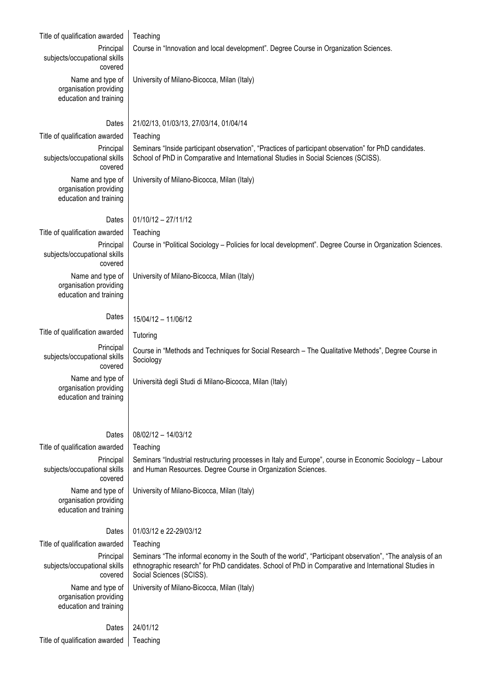| Title of qualification awarded                                       | Teaching                                                                                                                                                                                                                                      |
|----------------------------------------------------------------------|-----------------------------------------------------------------------------------------------------------------------------------------------------------------------------------------------------------------------------------------------|
| Principal<br>subjects/occupational skills<br>covered                 | Course in "Innovation and local development". Degree Course in Organization Sciences.                                                                                                                                                         |
| Name and type of<br>organisation providing<br>education and training | University of Milano-Bicocca, Milan (Italy)                                                                                                                                                                                                   |
| Dates                                                                | 21/02/13, 01/03/13, 27/03/14, 01/04/14                                                                                                                                                                                                        |
| Title of qualification awarded                                       | Teaching                                                                                                                                                                                                                                      |
| Principal<br>subjects/occupational skills<br>covered                 | Seminars "Inside participant observation", "Practices of participant observation" for PhD candidates.<br>School of PhD in Comparative and International Studies in Social Sciences (SCISS).                                                   |
| Name and type of<br>organisation providing<br>education and training | University of Milano-Bicocca, Milan (Italy)                                                                                                                                                                                                   |
| Dates                                                                | $01/10/12 - 27/11/12$                                                                                                                                                                                                                         |
| Title of qualification awarded                                       | Teaching                                                                                                                                                                                                                                      |
| Principal<br>subjects/occupational skills<br>covered                 | Course in "Political Sociology - Policies for local development". Degree Course in Organization Sciences.                                                                                                                                     |
| Name and type of<br>organisation providing<br>education and training | University of Milano-Bicocca, Milan (Italy)                                                                                                                                                                                                   |
| Dates                                                                | 15/04/12 - 11/06/12                                                                                                                                                                                                                           |
| Title of qualification awarded                                       | Tutoring                                                                                                                                                                                                                                      |
| Principal<br>subjects/occupational skills<br>covered                 | Course in "Methods and Techniques for Social Research - The Qualitative Methods", Degree Course in<br>Sociology                                                                                                                               |
| Name and type of<br>organisation providing<br>education and training | Università degli Studi di Milano-Bicocca, Milan (Italy)                                                                                                                                                                                       |
|                                                                      | 08/02/12 - 14/03/12                                                                                                                                                                                                                           |
| Dates<br>Title of qualification awarded                              | Teaching                                                                                                                                                                                                                                      |
| Principal                                                            | Seminars "Industrial restructuring processes in Italy and Europe", course in Economic Sociology - Labour                                                                                                                                      |
| subjects/occupational skills<br>covered                              | and Human Resources. Degree Course in Organization Sciences.                                                                                                                                                                                  |
| Name and type of<br>organisation providing<br>education and training | University of Milano-Bicocca, Milan (Italy)                                                                                                                                                                                                   |
| Dates                                                                | 01/03/12 e 22-29/03/12                                                                                                                                                                                                                        |
| Title of qualification awarded                                       | Teaching                                                                                                                                                                                                                                      |
| Principal<br>subjects/occupational skills<br>covered                 | Seminars "The informal economy in the South of the world", "Participant observation", "The analysis of an<br>ethnographic research" for PhD candidates. School of PhD in Comparative and International Studies in<br>Social Sciences (SCISS). |
| Name and type of<br>organisation providing<br>education and training | University of Milano-Bicocca, Milan (Italy)                                                                                                                                                                                                   |
| Dates                                                                | 24/01/12                                                                                                                                                                                                                                      |
| Title of qualification awarded                                       | Teaching                                                                                                                                                                                                                                      |
|                                                                      |                                                                                                                                                                                                                                               |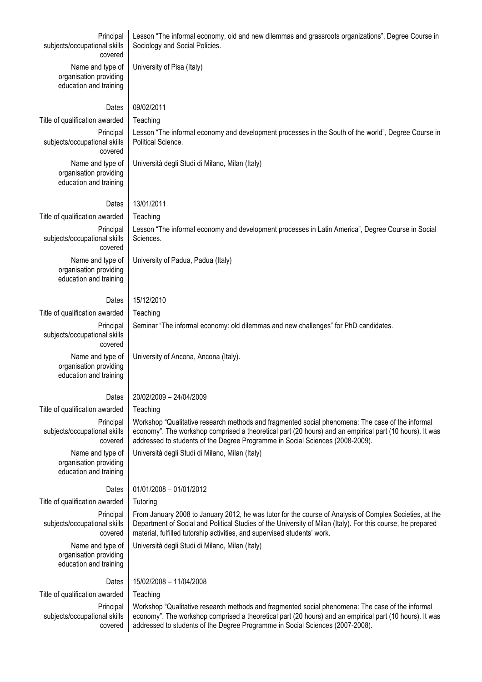| Principal<br>subjects/occupational skills<br>covered                 | Lesson "The informal economy, old and new dilemmas and grassroots organizations", Degree Course in<br>Sociology and Social Policies.                                                                                                                                                               |
|----------------------------------------------------------------------|----------------------------------------------------------------------------------------------------------------------------------------------------------------------------------------------------------------------------------------------------------------------------------------------------|
| Name and type of<br>organisation providing<br>education and training | University of Pisa (Italy)                                                                                                                                                                                                                                                                         |
| Dates                                                                | 09/02/2011                                                                                                                                                                                                                                                                                         |
| Title of qualification awarded                                       | Teaching                                                                                                                                                                                                                                                                                           |
| Principal<br>subjects/occupational skills<br>covered                 | Lesson "The informal economy and development processes in the South of the world", Degree Course in<br>Political Science.                                                                                                                                                                          |
| Name and type of<br>organisation providing<br>education and training | Università degli Studi di Milano, Milan (Italy)                                                                                                                                                                                                                                                    |
| Dates                                                                | 13/01/2011                                                                                                                                                                                                                                                                                         |
| Title of qualification awarded                                       | Teaching                                                                                                                                                                                                                                                                                           |
| Principal<br>subjects/occupational skills<br>covered                 | Lesson "The informal economy and development processes in Latin America", Degree Course in Social<br>Sciences.                                                                                                                                                                                     |
| Name and type of<br>organisation providing<br>education and training | University of Padua, Padua (Italy)                                                                                                                                                                                                                                                                 |
| Dates                                                                | 15/12/2010                                                                                                                                                                                                                                                                                         |
| Title of qualification awarded                                       | Teaching                                                                                                                                                                                                                                                                                           |
| Principal<br>subjects/occupational skills<br>covered                 | Seminar "The informal economy: old dilemmas and new challenges" for PhD candidates.                                                                                                                                                                                                                |
| Name and type of<br>organisation providing<br>education and training | University of Ancona, Ancona (Italy).                                                                                                                                                                                                                                                              |
| Dates                                                                | 20/02/2009 - 24/04/2009                                                                                                                                                                                                                                                                            |
| Title of qualification awarded                                       | Teaching                                                                                                                                                                                                                                                                                           |
| Principal<br>subjects/occupational skills<br>covered                 | Workshop "Qualitative research methods and fragmented social phenomena: The case of the informal<br>economy". The workshop comprised a theoretical part (20 hours) and an empirical part (10 hours). It was<br>addressed to students of the Degree Programme in Social Sciences (2008-2009).       |
| Name and type of<br>organisation providing<br>education and training | Università degli Studi di Milano, Milan (Italy)                                                                                                                                                                                                                                                    |
| Dates                                                                | 01/01/2008 - 01/01/2012                                                                                                                                                                                                                                                                            |
| Title of qualification awarded                                       | Tutoring                                                                                                                                                                                                                                                                                           |
| Principal<br>subjects/occupational skills<br>covered                 | From January 2008 to January 2012, he was tutor for the course of Analysis of Complex Societies, at the<br>Department of Social and Political Studies of the University of Milan (Italy). For this course, he prepared<br>material, fulfilled tutorship activities, and supervised students' work. |
| Name and type of<br>organisation providing<br>education and training | Università degli Studi di Milano, Milan (Italy)                                                                                                                                                                                                                                                    |
| Dates                                                                | 15/02/2008 - 11/04/2008                                                                                                                                                                                                                                                                            |
| Title of qualification awarded                                       | Teaching                                                                                                                                                                                                                                                                                           |
| Principal<br>subjects/occupational skills<br>covered                 | Workshop "Qualitative research methods and fragmented social phenomena: The case of the informal<br>economy". The workshop comprised a theoretical part (20 hours) and an empirical part (10 hours). It was<br>addressed to students of the Degree Programme in Social Sciences (2007-2008).       |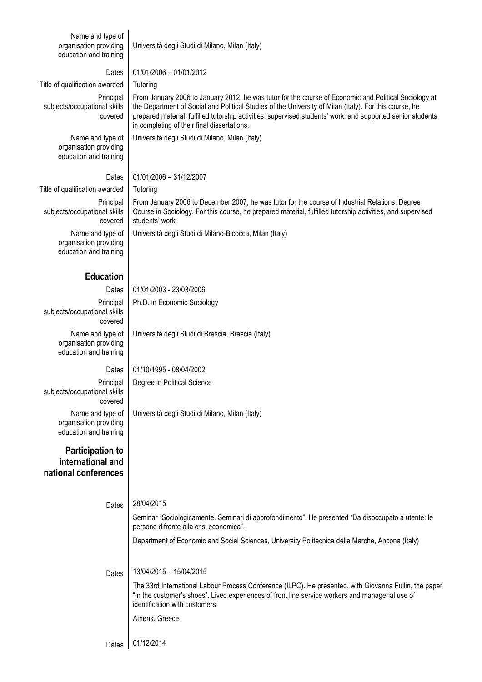| Name and type of<br>organisation providing<br>education and training | Università degli Studi di Milano, Milan (Italy)                                                                                                                                                                                                                                                                                                                               |
|----------------------------------------------------------------------|-------------------------------------------------------------------------------------------------------------------------------------------------------------------------------------------------------------------------------------------------------------------------------------------------------------------------------------------------------------------------------|
| Dates                                                                | 01/01/2006 - 01/01/2012                                                                                                                                                                                                                                                                                                                                                       |
| Title of qualification awarded                                       | Tutoring                                                                                                                                                                                                                                                                                                                                                                      |
| Principal<br>subjects/occupational skills<br>covered                 | From January 2006 to January 2012, he was tutor for the course of Economic and Political Sociology at<br>the Department of Social and Political Studies of the University of Milan (Italy). For this course, he<br>prepared material, fulfilled tutorship activities, supervised students' work, and supported senior students<br>in completing of their final dissertations. |
| Name and type of<br>organisation providing<br>education and training | Università degli Studi di Milano, Milan (Italy)                                                                                                                                                                                                                                                                                                                               |
| Dates                                                                | 01/01/2006 - 31/12/2007                                                                                                                                                                                                                                                                                                                                                       |
| Title of qualification awarded                                       | Tutoring                                                                                                                                                                                                                                                                                                                                                                      |
| Principal<br>subjects/occupational skills<br>covered                 | From January 2006 to December 2007, he was tutor for the course of Industrial Relations, Degree<br>Course in Sociology. For this course, he prepared material, fulfilled tutorship activities, and supervised<br>students' work.                                                                                                                                              |
| Name and type of<br>organisation providing<br>education and training | Università degli Studi di Milano-Bicocca, Milan (Italy)                                                                                                                                                                                                                                                                                                                       |
| <b>Education</b>                                                     |                                                                                                                                                                                                                                                                                                                                                                               |
| Dates                                                                | 01/01/2003 - 23/03/2006                                                                                                                                                                                                                                                                                                                                                       |
| Principal<br>subjects/occupational skills<br>covered                 | Ph.D. in Economic Sociology                                                                                                                                                                                                                                                                                                                                                   |
| Name and type of<br>organisation providing<br>education and training | Università degli Studi di Brescia, Brescia (Italy)                                                                                                                                                                                                                                                                                                                            |
| Dates                                                                | 01/10/1995 - 08/04/2002                                                                                                                                                                                                                                                                                                                                                       |
| Principal<br>subjects/occupational skills<br>covered                 | Degree in Political Science                                                                                                                                                                                                                                                                                                                                                   |
| Name and type of<br>organisation providing<br>education and training | Università degli Studi di Milano, Milan (Italy)                                                                                                                                                                                                                                                                                                                               |
| <b>Participation to</b><br>international and<br>national conferences |                                                                                                                                                                                                                                                                                                                                                                               |
|                                                                      |                                                                                                                                                                                                                                                                                                                                                                               |
| Dates                                                                | 28/04/2015<br>Seminar "Sociologicamente. Seminari di approfondimento". He presented "Da disoccupato a utente: le<br>persone difronte alla crisi economica".                                                                                                                                                                                                                   |
|                                                                      | Department of Economic and Social Sciences, University Politecnica delle Marche, Ancona (Italy)                                                                                                                                                                                                                                                                               |
| Dates                                                                | 13/04/2015 - 15/04/2015                                                                                                                                                                                                                                                                                                                                                       |
|                                                                      | The 33rd International Labour Process Conference (ILPC). He presented, with Giovanna Fullin, the paper<br>"In the customer's shoes". Lived experiences of front line service workers and managerial use of<br>identification with customers                                                                                                                                   |
|                                                                      | Athens, Greece                                                                                                                                                                                                                                                                                                                                                                |
| Dates                                                                | 01/12/2014                                                                                                                                                                                                                                                                                                                                                                    |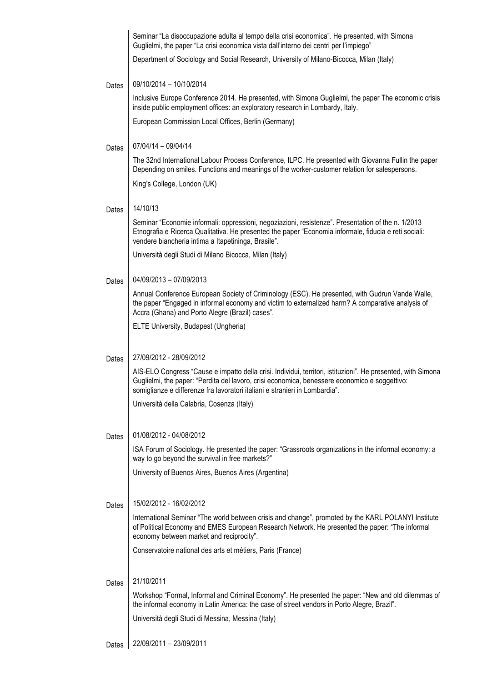|       | Seminar "La disoccupazione adulta al tempo della crisi economica". He presented, with Simona<br>Guglielmi, the paper "La crisi economica vista dall'interno dei centri per l'impiego"                                                                                                        |
|-------|----------------------------------------------------------------------------------------------------------------------------------------------------------------------------------------------------------------------------------------------------------------------------------------------|
|       | Department of Sociology and Social Research, University of Milano-Bicocca, Milan (Italy)                                                                                                                                                                                                     |
| Dates | 09/10/2014 - 10/10/2014                                                                                                                                                                                                                                                                      |
|       | Inclusive Europe Conference 2014. He presented, with Simona Guglielmi, the paper The economic crisis<br>inside public employment offices: an exploratory research in Lombardy, Italy.                                                                                                        |
|       | European Commission Local Offices, Berlin (Germany)                                                                                                                                                                                                                                          |
| Dates | 07/04/14 - 09/04/14                                                                                                                                                                                                                                                                          |
|       | The 32nd International Labour Process Conference, ILPC. He presented with Giovanna Fullin the paper<br>Depending on smiles. Functions and meanings of the worker-customer relation for salespersons.                                                                                         |
|       | King's College, London (UK)                                                                                                                                                                                                                                                                  |
| Dates | 14/10/13                                                                                                                                                                                                                                                                                     |
|       | Seminar "Economie informali: oppressioni, negoziazioni, resistenze". Presentation of the n. 1/2013<br>Etnografia e Ricerca Qualitativa. He presented the paper "Economia informale, fiducia e reti sociali:<br>vendere biancheria intima a Itapetininga, Brasile".                           |
|       | Università degli Studi di Milano Bicocca, Milan (Italy)                                                                                                                                                                                                                                      |
| Dates | 04/09/2013 - 07/09/2013                                                                                                                                                                                                                                                                      |
|       | Annual Conference European Society of Criminology (ESC). He presented, with Gudrun Vande Walle,<br>the paper "Engaged in informal economy and victim to externalized harm? A comparative analysis of<br>Accra (Ghana) and Porto Alegre (Brazil) cases".                                      |
|       | ELTE University, Budapest (Ungheria)                                                                                                                                                                                                                                                         |
|       |                                                                                                                                                                                                                                                                                              |
| Dates | 27/09/2012 - 28/09/2012                                                                                                                                                                                                                                                                      |
|       | AIS-ELO Congress "Cause e impatto della crisi. Individui, territori, istituzioni". He presented, with Simona<br>Guglielmi, the paper: "Perdita del lavoro, crisi economica, benessere economico e soggettivo:<br>somiglianze e differenze fra lavoratori italiani e stranieri in Lombardia". |
|       | Università della Calabria, Cosenza (Italy)                                                                                                                                                                                                                                                   |
|       |                                                                                                                                                                                                                                                                                              |
| Dates | 01/08/2012 - 04/08/2012                                                                                                                                                                                                                                                                      |
|       | ISA Forum of Sociology. He presented the paper: "Grassroots organizations in the informal economy: a<br>way to go beyond the survival in free markets?"                                                                                                                                      |
|       | University of Buenos Aires, Buenos Aires (Argentina)                                                                                                                                                                                                                                         |
|       |                                                                                                                                                                                                                                                                                              |
| Dates | 15/02/2012 - 16/02/2012                                                                                                                                                                                                                                                                      |
|       | International Seminar "The world between crisis and change", promoted by the KARL POLANYI Institute<br>of Political Economy and EMES European Research Network. He presented the paper: "The informal<br>economy between market and reciprocity".                                            |
|       | Conservatoire national des arts et métiers, Paris (France)                                                                                                                                                                                                                                   |
|       |                                                                                                                                                                                                                                                                                              |
| Dates | 21/10/2011                                                                                                                                                                                                                                                                                   |
|       | Workshop "Formal, Informal and Criminal Economy". He presented the paper: "New and old dilemmas of<br>the informal economy in Latin America: the case of street vendors in Porto Alegre, Brazil".                                                                                            |
|       | Università degli Studi di Messina, Messina (Italy)                                                                                                                                                                                                                                           |
|       | $22/09/2011 - 23/09/2011$                                                                                                                                                                                                                                                                    |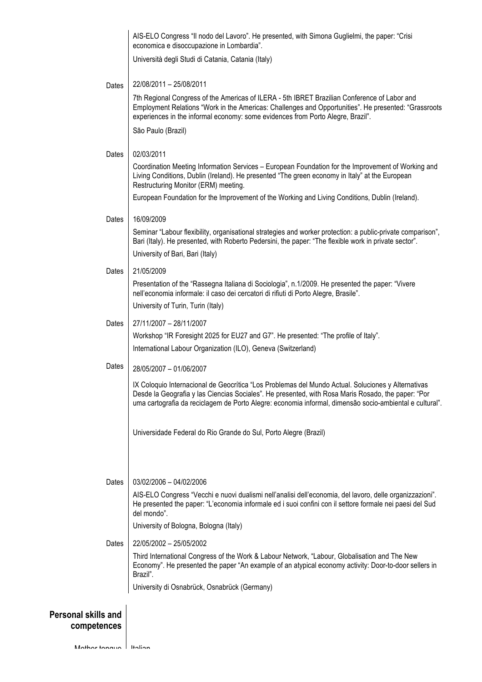|                            | AIS-ELO Congress "Il nodo del Lavoro". He presented, with Simona Guglielmi, the paper: "Crisi<br>economica e disoccupazione in Lombardia".                                                                                                                                                                          |
|----------------------------|---------------------------------------------------------------------------------------------------------------------------------------------------------------------------------------------------------------------------------------------------------------------------------------------------------------------|
|                            | Università degli Studi di Catania, Catania (Italy)                                                                                                                                                                                                                                                                  |
| Dates                      | 22/08/2011 - 25/08/2011                                                                                                                                                                                                                                                                                             |
|                            | 7th Regional Congress of the Americas of ILERA - 5th IBRET Brazilian Conference of Labor and<br>Employment Relations "Work in the Americas: Challenges and Opportunities". He presented: "Grassroots<br>experiences in the informal economy: some evidences from Porto Alegre, Brazil".                             |
|                            | São Paulo (Brazil)                                                                                                                                                                                                                                                                                                  |
| Dates                      | 02/03/2011                                                                                                                                                                                                                                                                                                          |
|                            | Coordination Meeting Information Services - European Foundation for the Improvement of Working and<br>Living Conditions, Dublin (Ireland). He presented "The green economy in Italy" at the European<br>Restructuring Monitor (ERM) meeting.                                                                        |
|                            | European Foundation for the Improvement of the Working and Living Conditions, Dublin (Ireland).                                                                                                                                                                                                                     |
| Dates                      | 16/09/2009                                                                                                                                                                                                                                                                                                          |
|                            | Seminar "Labour flexibility, organisational strategies and worker protection: a public-private comparison",<br>Bari (Italy). He presented, with Roberto Pedersini, the paper: "The flexible work in private sector".                                                                                                |
|                            | University of Bari, Bari (Italy)                                                                                                                                                                                                                                                                                    |
| Dates                      | 21/05/2009<br>Presentation of the "Rassegna Italiana di Sociologia", n.1/2009. He presented the paper: "Vivere                                                                                                                                                                                                      |
|                            | nell'economia informale: il caso dei cercatori di rifiuti di Porto Alegre, Brasile".                                                                                                                                                                                                                                |
|                            | University of Turin, Turin (Italy)<br>27/11/2007 - 28/11/2007                                                                                                                                                                                                                                                       |
| Dates                      | Workshop "IR Foresight 2025 for EU27 and G7". He presented: "The profile of Italy".                                                                                                                                                                                                                                 |
|                            | International Labour Organization (ILO), Geneva (Switzerland)                                                                                                                                                                                                                                                       |
| Dates                      | 28/05/2007 - 01/06/2007                                                                                                                                                                                                                                                                                             |
|                            | IX Coloquio Internacional de Geocrítica "Los Problemas del Mundo Actual. Soluciones y Alternativas<br>Desde la Geografia y las Ciencias Sociales". He presented, with Rosa Maris Rosado, the paper: "Por<br>uma cartografia da reciclagem de Porto Alegre: economia informal, dimensão socio-ambiental e cultural". |
|                            | Universidade Federal do Rio Grande do Sul, Porto Alegre (Brazil)                                                                                                                                                                                                                                                    |
| Dates                      | 03/02/2006 - 04/02/2006                                                                                                                                                                                                                                                                                             |
|                            | AIS-ELO Congress "Vecchi e nuovi dualismi nell'analisi dell'economia, del lavoro, delle organizzazioni".<br>He presented the paper: "L'economia informale ed i suoi confini con il settore formale nei paesi del Sud<br>del mondo".                                                                                 |
|                            | University of Bologna, Bologna (Italy)                                                                                                                                                                                                                                                                              |
| Dates                      | 22/05/2002 - 25/05/2002                                                                                                                                                                                                                                                                                             |
|                            | Third International Congress of the Work & Labour Network, "Labour, Globalisation and The New<br>Economy". He presented the paper "An example of an atypical economy activity: Door-to-door sellers in<br>Brazil".                                                                                                  |
|                            | University di Osnabrück, Osnabrück (Germany)                                                                                                                                                                                                                                                                        |
| <b>Personal skills and</b> |                                                                                                                                                                                                                                                                                                                     |
| competences                |                                                                                                                                                                                                                                                                                                                     |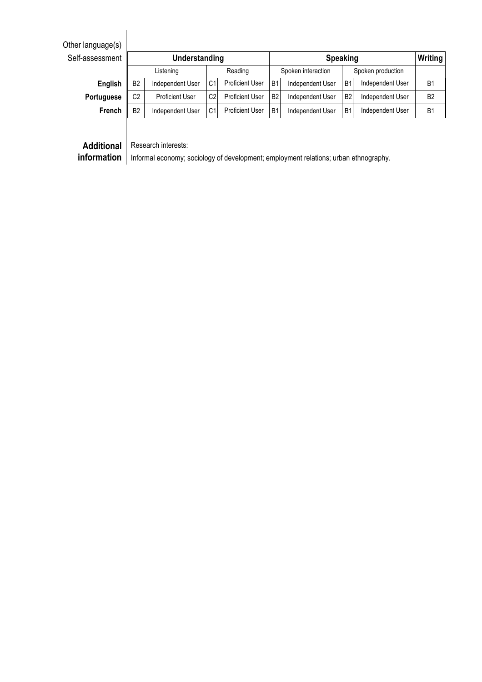| Self-assessment   | Understanding                                                                        |                        |                |                        |                    | <b>Speaking</b>  |                   |                  |                |
|-------------------|--------------------------------------------------------------------------------------|------------------------|----------------|------------------------|--------------------|------------------|-------------------|------------------|----------------|
|                   | Listening                                                                            |                        | Reading        |                        | Spoken interaction |                  | Spoken production |                  |                |
| English           | B <sub>2</sub>                                                                       | Independent User       | C <sub>1</sub> | Proficient User        | B <sub>1</sub>     | Independent User | B <sub>1</sub>    | Independent User | B <sub>1</sub> |
| <b>Portuguese</b> | C <sub>2</sub>                                                                       | <b>Proficient User</b> | C <sub>2</sub> | <b>Proficient User</b> | <b>B2</b>          | Independent User | <b>B2</b>         | Independent User | <b>B2</b>      |
| <b>French</b>     | B <sub>2</sub>                                                                       | Independent User       | C <sub>1</sub> | Proficient User        | B <sub>1</sub>     | Independent User | B <sub>1</sub>    | Independent User | B <sub>1</sub> |
|                   |                                                                                      |                        |                |                        |                    |                  |                   |                  |                |
| <b>Additional</b> |                                                                                      | Research interests:    |                |                        |                    |                  |                   |                  |                |
| information       | Informal economy; sociology of development; employment relations; urban ethnography. |                        |                |                        |                    |                  |                   |                  |                |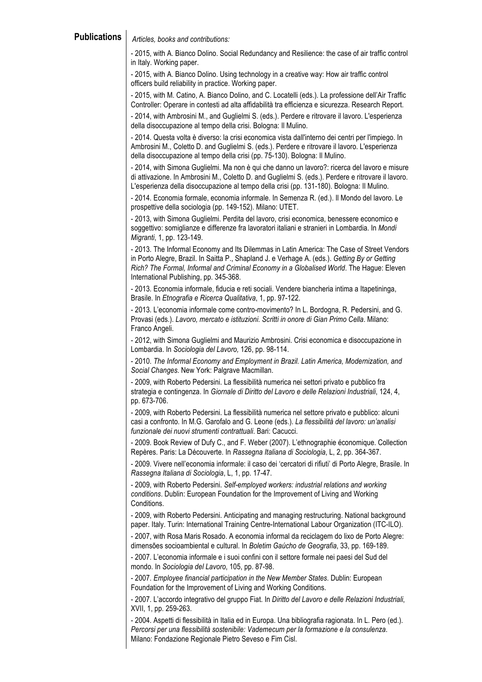**Publications** *Articles, books and contributions:*

- 2015, with A. Bianco Dolino. Social Redundancy and Resilience: the case of air traffic control in Italy. Working paper.

- 2015, with A. Bianco Dolino. Using technology in a creative way: How air traffic control officers build reliability in practice. Working paper.

- 2015, with M. Catino, A. Bianco Dolino, and C. Locatelli (eds.). La professione dell'Air Traffic Controller: Operare in contesti ad alta affidabilità tra efficienza e sicurezza. Research Report.

- 2014, with Ambrosini M., and Guglielmi S. (eds.). Perdere e ritrovare il lavoro. L'esperienza della disoccupazione al tempo della crisi. Bologna: Il Mulino.

- 2014. Questa volta è diverso: la crisi economica vista dall'interno dei centri per l'impiego. In Ambrosini M., Coletto D. and Guglielmi S. (eds.). Perdere e ritrovare il lavoro. L'esperienza della disoccupazione al tempo della crisi (pp. 75-130). Bologna: Il Mulino.

- 2014, with Simona Guglielmi. Ma non è qui che danno un lavoro?: ricerca del lavoro e misure di attivazione. In Ambrosini M., Coletto D. and Guglielmi S. (eds.). Perdere e ritrovare il lavoro. L'esperienza della disoccupazione al tempo della crisi (pp. 131-180). Bologna: Il Mulino.

- 2014. Economia formale, economia informale. In Semenza R. (ed.). Il Mondo del lavoro. Le prospettive della sociologia (pp. 149-152). Milano: UTET.

- 2013, with Simona Guglielmi. Perdita del lavoro, crisi economica, benessere economico e soggettivo: somiglianze e differenze fra lavoratori italiani e stranieri in Lombardia. In *Mondi Migranti*, 1, pp. 123-149.

- 2013. The Informal Economy and Its Dilemmas in Latin America: The Case of Street Vendors in Porto Alegre, Brazil. In Saitta P., Shapland J. e Verhage A. (eds.). *Getting By or Getting Rich? The Formal, Informal and Criminal Economy in a Globalised World*. The Hague: Eleven International Publishing, pp. 345-368.

- 2013. Economia informale, fiducia e reti sociali. Vendere biancheria intima a Itapetininga, Brasile. In *Etnografia e Ricerca Qualitativa*, 1, pp. 97-122.

- 2013. L'economia informale come contro-movimento? In L. Bordogna, R. Pedersini, and G. Provasi (eds.). *Lavoro, mercato e istituzioni. Scritti in onore di Gian Primo Cella*. Milano: Franco Angeli.

- 2012, with Simona Guglielmi and Maurizio Ambrosini. Crisi economica e disoccupazione in Lombardia. In *Sociologia del Lavoro,* 126, pp. 98-114.

- 2010. *The Informal Economy and Employment in Brazil. Latin America, Modernization, and Social Changes*. New York: Palgrave Macmillan.

- 2009, with Roberto Pedersini. La flessibilità numerica nei settori privato e pubblico fra strategia e contingenza. In *Giornale di Diritto del Lavoro e delle Relazioni Industriali*, 124, 4, pp. 673-706.

- 2009, with Roberto Pedersini. La flessibilità numerica nel settore privato e pubblico: alcuni casi a confronto. In M.G. Garofalo and G. Leone (eds.). *La flessibilità del lavoro: un'analisi funzionale dei nuovi strumenti contrattuali*. Bari: Cacucci.

- 2009. Book Review of Dufy C., and F. Weber (2007). L'ethnographie économique. Collection Repères. Paris: La Découverte. In *Rassegna Italiana di Sociologia*, L, 2, pp. 364-367.

- 2009. Vivere nell'economia informale: il caso dei 'cercatori di rifiuti' di Porto Alegre, Brasile. In *Rassegna Italiana di Sociologia*, L, 1, pp. 17-47.

- 2009, with Roberto Pedersini. *Self-employed workers: industrial relations and working conditions*. Dublin: European Foundation for the Improvement of Living and Working Conditions.

- 2009, with Roberto Pedersini. Anticipating and managing restructuring. National background paper. Italy. Turin: International Training Centre-International Labour Organization (ITC-ILO).

- 2007, with Rosa Maris Rosado. A economia informal da reciclagem do lixo de Porto Alegre: dimensões socioambiental e cultural. In *Boletim Gaúcho de Geografia*, 33, pp. 169-189.

- 2007. L'economia informale e i suoi confini con il settore formale nei paesi del Sud del mondo. In *Sociologia del Lavoro*, 105, pp. 87-98.

- 2007. *Employee financial participation in the New Member States*. Dublin: European Foundation for the Improvement of Living and Working Conditions.

- 2007. L'accordo integrativo del gruppo Fiat. In *Diritto del Lavoro e delle Relazioni Industriali*, XVII, 1, pp. 259-263.

- 2004. Aspetti di flessibilità in Italia ed in Europa. Una bibliografia ragionata. In L. Pero (ed.). *Percorsi per una flessibilità sostenibile: Vademecum per la formazione e la consulenza*. Milano: Fondazione Regionale Pietro Seveso e Fim Cisl.